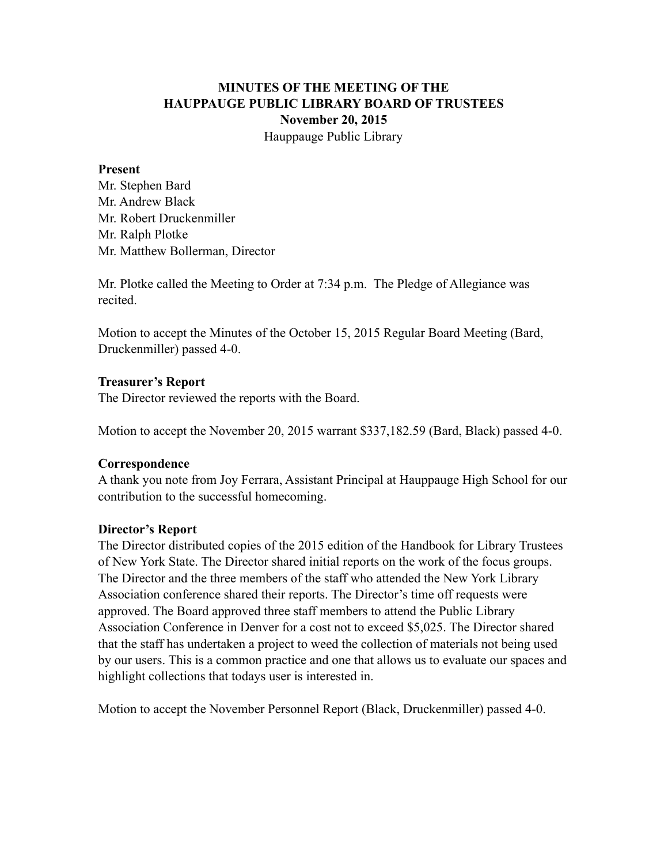# **MINUTES OF THE MEETING OF THE HAUPPAUGE PUBLIC LIBRARY BOARD OF TRUSTEES November 20, 2015** Hauppauge Public Library

#### **Present**

Mr. Stephen Bard Mr. Andrew Black Mr. Robert Druckenmiller Mr. Ralph Plotke Mr. Matthew Bollerman, Director

Mr. Plotke called the Meeting to Order at 7:34 p.m. The Pledge of Allegiance was recited.

Motion to accept the Minutes of the October 15, 2015 Regular Board Meeting (Bard, Druckenmiller) passed 4-0.

### **Treasurer's Report**

The Director reviewed the reports with the Board.

Motion to accept the November 20, 2015 warrant \$337,182.59 (Bard, Black) passed 4-0.

#### **Correspondence**

A thank you note from Joy Ferrara, Assistant Principal at Hauppauge High School for our contribution to the successful homecoming.

#### **Director's Report**

The Director distributed copies of the 2015 edition of the Handbook for Library Trustees of New York State. The Director shared initial reports on the work of the focus groups. The Director and the three members of the staff who attended the New York Library Association conference shared their reports. The Director's time off requests were approved. The Board approved three staff members to attend the Public Library Association Conference in Denver for a cost not to exceed \$5,025. The Director shared that the staff has undertaken a project to weed the collection of materials not being used by our users. This is a common practice and one that allows us to evaluate our spaces and highlight collections that todays user is interested in.

Motion to accept the November Personnel Report (Black, Druckenmiller) passed 4-0.